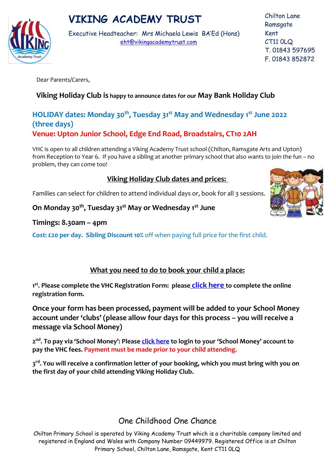# **VIKING ACADEMY TRUST**



Executive Headteacher: Mrs Michaela Lewis BA'Ed (Hons) [eht@vikingacademytrust.com](mailto:eht@vikingacademytrust.com)

Chilton Lane **Ramsgate** Kent CT11 0LQ T. 01843 597695 F. 01843 852872

Dear Parents/Carers,

#### **Viking Holiday Club is happy to announce dates for our May Bank Holiday Club**

#### **HOLIDAY dates: Monday 30th, Tuesday 31st May and Wednesday 1st June 2022 (three days) Venue: Upton Junior School, Edge End Road, Broadstairs, CT10 2AH**

VHC is open to all children attending a Viking Academy Trust school (Chilton, Ramsgate Arts and Upton) from Reception to Year 6. If you have a sibling at another primary school that also wants to join the fun – no problem, they can come too!

### **Viking Holiday Club dates and prices:**

Families can select for children to attend individual days or, book for all 3 sessions.

**On Monday 30th, Tuesday 31st May or Wednesday 1st June**

#### **Timings: 8.30am – 4pm**

**Cost: £20 per day. Sibling Discount 10%** off when paying full price for the first child.

#### **What you need to do to book your child a place:**

**1 st . Please complete the VHC Registration Form: pleas[e](https://app.keysurvey.co.uk/f/41517344/1c1a/) [click here](https://app.keysurvey.co.uk/f/41620316/f6d8/) to complete the online registration form.**

**Once your form has been processed, payment will be added to your School Money account under 'clubs' (please allow four days for this process – you will receive a message via School Money)**

**2 nd. To pay via 'School Money': Please [click here](https://login.eduspot.co.uk/public/portal/parent/?app=schoolmoney&source=website&version=20190314) to login to your 'School Money' account to pay the VHC fees. Payment must be made prior to your child attending.**

**3 rd . You will receive a confirmation letter of your booking, which you must bring with you on the first day of your child attending Viking Holiday Club.**

## One Childhood One Chance

Chilton Primary School is operated by Viking Academy Trust which is a charitable company limited and registered in England and Wales with Company Number 09449979. Registered Office is at Chilton Primary School, Chilton Lane, Ramsgate, Kent CT11 0LQ